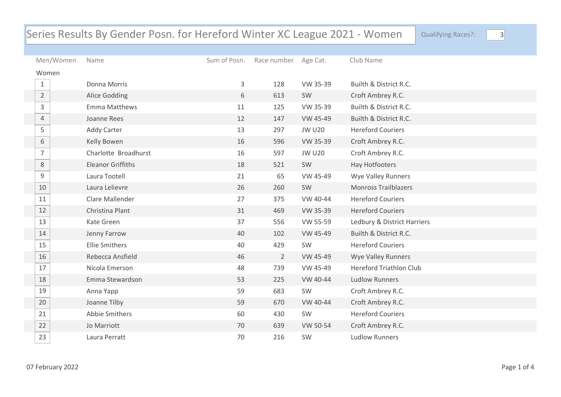## Series Results By Gender Posn. for Hereford Winter XC League 2021 - Women Qualifying Races?: 3

| Men/Women      | Name                     | Sum of Posn. | Race number Age Cat. |               | Club Name                      |
|----------------|--------------------------|--------------|----------------------|---------------|--------------------------------|
| Women          |                          |              |                      |               |                                |
| $\mathbf{1}$   | Donna Morris             | 3            | 128                  | VW 35-39      | Builth & District R.C.         |
| $\overline{2}$ | Alice Godding            | 6            | 613                  | SW            | Croft Ambrey R.C.              |
| 3              | Emma Matthews            | 11           | 125                  | VW 35-39      | Builth & District R.C.         |
| $\overline{4}$ | Joanne Rees              | 12           | 147                  | VW 45-49      | Builth & District R.C.         |
| 5              | <b>Addy Carter</b>       | 13           | 297                  | <b>JW U20</b> | <b>Hereford Couriers</b>       |
| 6              | Kelly Bowen              | 16           | 596                  | VW 35-39      | Croft Ambrey R.C.              |
| $\overline{7}$ | Charlotte Broadhurst     | 16           | 597                  | <b>JW U20</b> | Croft Ambrey R.C.              |
| $8\,$          | <b>Eleanor Griffiths</b> | 18           | 521                  | SW            | Hay Hotfooters                 |
| 9              | Laura Tootell            | 21           | 65                   | VW 45-49      | Wye Valley Runners             |
| 10             | Laura Lelievre           | 26           | 260                  | SW            | <b>Monross Trailblazers</b>    |
| 11             | Clare Mallender          | 27           | 375                  | VW 40-44      | <b>Hereford Couriers</b>       |
| 12             | Christina Plant          | 31           | 469                  | VW 35-39      | <b>Hereford Couriers</b>       |
| 13             | Kate Green               | 37           | 556                  | VW 55-59      | Ledbury & District Harriers    |
| 14             | Jenny Farrow             | 40           | 102                  | VW 45-49      | Builth & District R.C.         |
| 15             | <b>Ellie Smithers</b>    | 40           | 429                  | SW            | <b>Hereford Couriers</b>       |
| 16             | Rebecca Ansfield         | 46           | $\overline{2}$       | VW 45-49      | Wye Valley Runners             |
| 17             | Nicola Emerson           | 48           | 739                  | VW 45-49      | <b>Hereford Triathlon Club</b> |
| 18             | Emma Stewardson          | 53           | 225                  | VW 40-44      | <b>Ludlow Runners</b>          |
| 19             | Anna Yapp                | 59           | 683                  | SW            | Croft Ambrey R.C.              |
| 20             | Joanne Tilby             | 59           | 670                  | VW 40-44      | Croft Ambrey R.C.              |
| 21             | Abbie Smithers           | 60           | 430                  | SW            | <b>Hereford Couriers</b>       |
| 22             | Jo Marriott              | 70           | 639                  | VW 50-54      | Croft Ambrey R.C.              |
| 23             | Laura Perratt            | 70           | 216                  | SW            | <b>Ludlow Runners</b>          |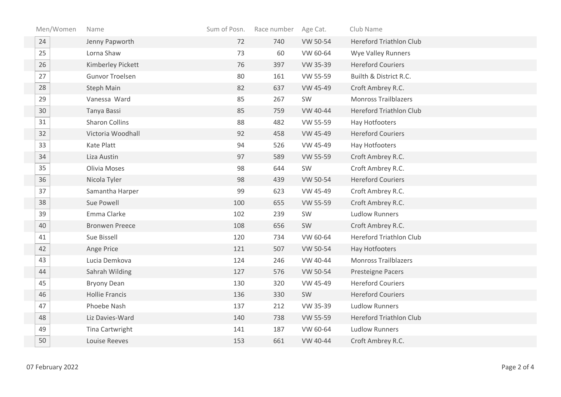| Men/Women | Name                   | Sum of Posn. | Race number | Age Cat. | Club Name                      |
|-----------|------------------------|--------------|-------------|----------|--------------------------------|
| 24        | Jenny Papworth         | 72           | 740         | VW 50-54 | <b>Hereford Triathlon Club</b> |
| 25        | Lorna Shaw             | 73           | 60          | VW 60-64 | <b>Wye Valley Runners</b>      |
| 26        | Kimberley Pickett      | 76           | 397         | VW 35-39 | <b>Hereford Couriers</b>       |
| 27        | <b>Gunvor Troelsen</b> | 80           | 161         | VW 55-59 | Builth & District R.C.         |
| 28        | Steph Main             | 82           | 637         | VW 45-49 | Croft Ambrey R.C.              |
| 29        | Vanessa Ward           | 85           | 267         | SW       | <b>Monross Trailblazers</b>    |
| 30        | Tanya Bassi            | 85           | 759         | VW 40-44 | <b>Hereford Triathlon Club</b> |
| 31        | <b>Sharon Collins</b>  | 88           | 482         | VW 55-59 | Hay Hotfooters                 |
| 32        | Victoria Woodhall      | 92           | 458         | VW 45-49 | <b>Hereford Couriers</b>       |
| 33        | Kate Platt             | 94           | 526         | VW 45-49 | Hay Hotfooters                 |
| 34        | Liza Austin            | 97           | 589         | VW 55-59 | Croft Ambrey R.C.              |
| 35        | Olivia Moses           | 98           | 644         | SW       | Croft Ambrey R.C.              |
| 36        | Nicola Tyler           | 98           | 439         | VW 50-54 | <b>Hereford Couriers</b>       |
| 37        | Samantha Harper        | 99           | 623         | VW 45-49 | Croft Ambrey R.C.              |
| 38        | Sue Powell             | 100          | 655         | VW 55-59 | Croft Ambrey R.C.              |
| 39        | Emma Clarke            | 102          | 239         | SW       | <b>Ludlow Runners</b>          |
| 40        | <b>Bronwen Preece</b>  | 108          | 656         | SW       | Croft Ambrey R.C.              |
| 41        | Sue Bissell            | 120          | 734         | VW 60-64 | <b>Hereford Triathlon Club</b> |
| 42        | Ange Price             | 121          | 507         | VW 50-54 | Hay Hotfooters                 |
| 43        | Lucia Demkova          | 124          | 246         | VW 40-44 | <b>Monross Trailblazers</b>    |
| 44        | Sahrah Wilding         | 127          | 576         | VW 50-54 | Presteigne Pacers              |
| 45        | <b>Bryony Dean</b>     | 130          | 320         | VW 45-49 | <b>Hereford Couriers</b>       |
| 46        | <b>Hollie Francis</b>  | 136          | 330         | SW       | <b>Hereford Couriers</b>       |
| 47        | Phoebe Nash            | 137          | 212         | VW 35-39 | <b>Ludlow Runners</b>          |
| 48        | Liz Davies-Ward        | 140          | 738         | VW 55-59 | <b>Hereford Triathlon Club</b> |
| 49        | Tina Cartwright        | 141          | 187         | VW 60-64 | <b>Ludlow Runners</b>          |
| 50        | <b>Louise Reeves</b>   | 153          | 661         | VW 40-44 | Croft Ambrey R.C.              |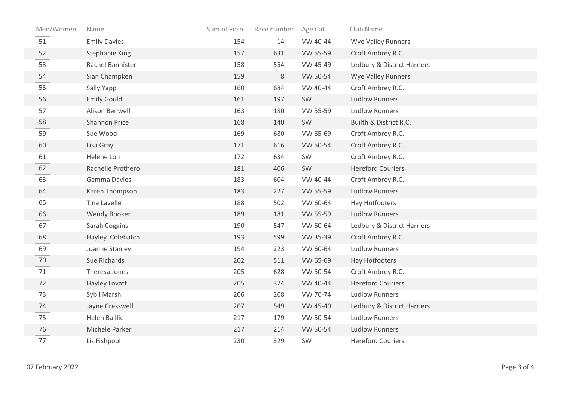| Men/Women | Name                  | Sum of Posn. | Race number | Age Cat. | Club Name                   |
|-----------|-----------------------|--------------|-------------|----------|-----------------------------|
| 51        | <b>Emily Davies</b>   | 154          | 14          | VW 40-44 | <b>Wye Valley Runners</b>   |
| 52        | <b>Stephanie King</b> | 157          | 631         | VW 55-59 | Croft Ambrey R.C.           |
| 53        | Rachel Bannister      | 158          | 554         | VW 45-49 | Ledbury & District Harriers |
| 54        | Sian Champken         | 159          | 8           | VW 50-54 | Wye Valley Runners          |
| 55        | Sally Yapp            | 160          | 684         | VW 40-44 | Croft Ambrey R.C.           |
| 56        | <b>Emily Gould</b>    | 161          | 197         | SW       | <b>Ludlow Runners</b>       |
| 57        | Alison Benwell        | 163          | 180         | VW 55-59 | <b>Ludlow Runners</b>       |
| 58        | Shannon Price         | 168          | 140         | SW       | Builth & District R.C.      |
| 59        | Sue Wood              | 169          | 680         | VW 65-69 | Croft Ambrey R.C.           |
| 60        | Lisa Gray             | 171          | 616         | VW 50-54 | Croft Ambrey R.C.           |
| 61        | Helene Loh            | 172          | 634         | SW       | Croft Ambrey R.C.           |
| 62        | Rachelle Prothero     | 181          | 406         | SW       | <b>Hereford Couriers</b>    |
| 63        | <b>Gemma Davies</b>   | 183          | 604         | VW 40-44 | Croft Ambrey R.C.           |
| 64        | Karen Thompson        | 183          | 227         | VW 55-59 | <b>Ludlow Runners</b>       |
| 65        | Tina Lavelle          | 188          | 502         | VW 60-64 | Hay Hotfooters              |
| 66        | Wendy Booker          | 189          | 181         | VW 55-59 | <b>Ludlow Runners</b>       |
| 67        | Sarah Coggins         | 190          | 547         | VW 60-64 | Ledbury & District Harriers |
| 68        | Hayley Colebatch      | 193          | 599         | VW 35-39 | Croft Ambrey R.C.           |
| 69        | Joanne Stanley        | 194          | 223         | VW 60-64 | <b>Ludlow Runners</b>       |
| 70        | Sue Richards          | 202          | 511         | VW 65-69 | Hay Hotfooters              |
| 71        | Theresa Jones         | 205          | 628         | VW 50-54 | Croft Ambrey R.C.           |
| 72        | Hayley Lovatt         | 205          | 374         | VW 40-44 | <b>Hereford Couriers</b>    |
| 73        | Sybil Marsh           | 206          | 208         | VW 70-74 | <b>Ludlow Runners</b>       |
| 74        | Jayne Cresswell       | 207          | 549         | VW 45-49 | Ledbury & District Harriers |
| 75        | <b>Helen Baillie</b>  | 217          | 179         | VW 50-54 | <b>Ludlow Runners</b>       |
| 76        | Michele Parker        | 217          | 214         | VW 50-54 | <b>Ludlow Runners</b>       |
| 77        | Liz Fishpool          | 230          | 329         | SW       | <b>Hereford Couriers</b>    |